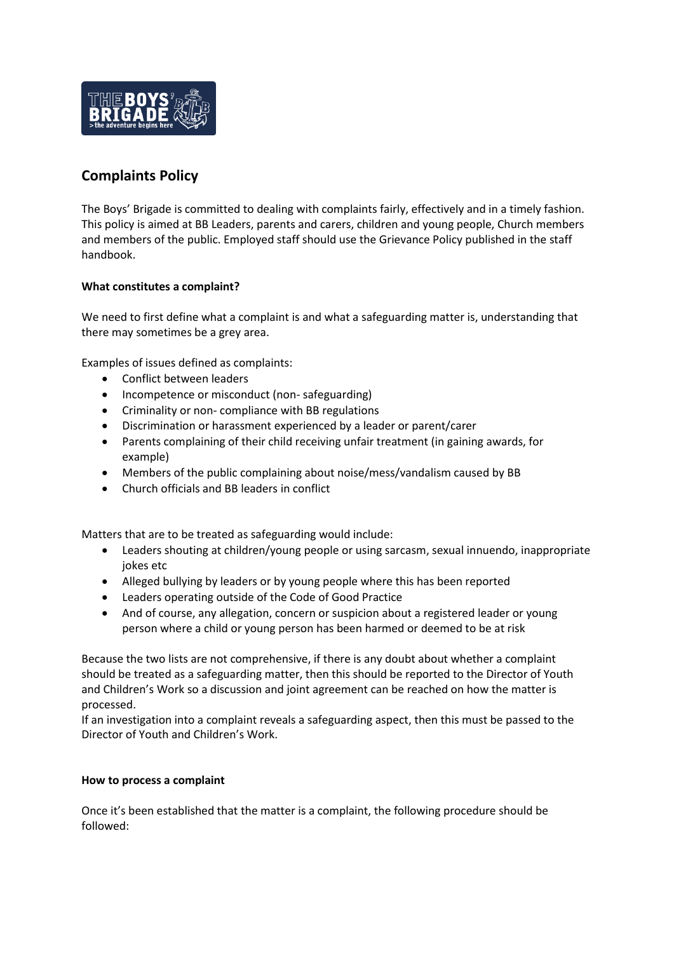

## **Complaints Policy**

The Boys' Brigade is committed to dealing with complaints fairly, effectively and in a timely fashion. This policy is aimed at BB Leaders, parents and carers, children and young people, Church members and members of the public. Employed staff should use the Grievance Policy published in the staff handbook.

## **What constitutes a complaint?**

We need to first define what a complaint is and what a safeguarding matter is, understanding that there may sometimes be a grey area.

Examples of issues defined as complaints:

- Conflict between leaders
- Incompetence or misconduct (non- safeguarding)
- Criminality or non- compliance with BB regulations
- Discrimination or harassment experienced by a leader or parent/carer
- Parents complaining of their child receiving unfair treatment (in gaining awards, for example)
- Members of the public complaining about noise/mess/vandalism caused by BB
- Church officials and BB leaders in conflict

Matters that are to be treated as safeguarding would include:

- Leaders shouting at children/young people or using sarcasm, sexual innuendo, inappropriate jokes etc
- Alleged bullying by leaders or by young people where this has been reported
- Leaders operating outside of the Code of Good Practice
- And of course, any allegation, concern or suspicion about a registered leader or young person where a child or young person has been harmed or deemed to be at risk

Because the two lists are not comprehensive, if there is any doubt about whether a complaint should be treated as a safeguarding matter, then this should be reported to the Director of Youth and Children's Work so a discussion and joint agreement can be reached on how the matter is processed.

If an investigation into a complaint reveals a safeguarding aspect, then this must be passed to the Director of Youth and Children's Work.

## **How to process a complaint**

Once it's been established that the matter is a complaint, the following procedure should be followed: